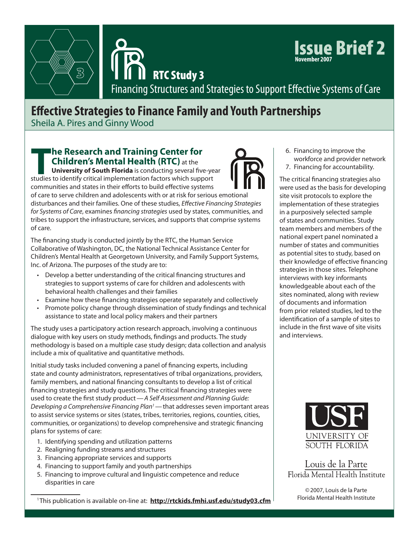



Issue Brief 2 **November 2007**

RTC Study 3

Financing Structures and Strategies to Support Effective Systems of Care

## **Effective Strategies to Finance Family and Youth Partnerships**

Sheila A. Pires and Ginny Wood

### **The Research and Training Center for Children's Mental Health (RTC)** at the

**University of South Florida** is conducting several five-year studies to identify critical implementation factors which support communities and states in their efforts to build effective systems

of care to serve children and adolescents with or at risk for serious emotional disturbances and their families. One of these studies, *Effective Financing Strategies for Systems of Care*, examines *financing strategies* used by states, communities, and tribes to support the infrastructure, services, and supports that comprise systems of care.

The financing study is conducted jointly by the RTC, the Human Service Collaborative of Washington, DC, the National Technical Assistance Center for Children's Mental Health at Georgetown University, and Family Support Systems, Inc. of Arizona. The purposes of the study are to:

- Develop a better understanding of the critical financing structures and strategies to support systems of care for children and adolescents with behavioral health challenges and their families
- • Examine how these financing strategies operate separately and collectively
- Promote policy change through dissemination of study findings and technical assistance to state and local policy makers and their partners

The study uses a participatory action research approach, involving a continuous dialogue with key users on study methods, findings and products. The study methodology is based on a multiple case study design; data collection and analysis include a mix of qualitative and quantitative methods.

Initial study tasks included convening a panel of financing experts, including state and county administrators, representatives of tribal organizations, providers, family members, and national financing consultants to develop a list of critical financing strategies and study questions. The critical financing strategies were used to create the first study product—*A Self Assessment and Planning Guide: Developing a Comprehensive Financing Plan1*—that addresses seven important areas to assist service systems or sites (states, tribes, territories, regions, counties, cities, communities, or organizations) to develop comprehensive and strategic financing plans for systems of care:

- 1. Identifying spending and utilization patterns
- 2. Realigning funding streams and structures
- 3. Financing appropriate services and supports
- 4. Financing to support family and youth partnerships
- 5. Financing to improve cultural and linguistic competence and reduce disparities in care

<sup>1</sup> This publication is available on-line at: **http://rtckids.fmhi.usf.edu/study03.cfm**

6. Financing to improve the workforce and provider network 7. Financing for accountability.

The critical financing strategies also were used as the basis for developing site visit protocols to explore the implementation of these strategies in a purposively selected sample of states and communities. Study team members and members of the national expert panel nominated a number of states and communities as potential sites to study, based on their knowledge of effective financing strategies in those sites. Telephone interviews with key informants knowledgeable about each of the sites nominated, along with review of documents and information from prior related studies, led to the identification of a sample of sites to include in the first wave of site visits and interviews.



Louis de la Parte Florida Mental Health Institute

©2007, Louis de la Parte Florida Mental Health Institute

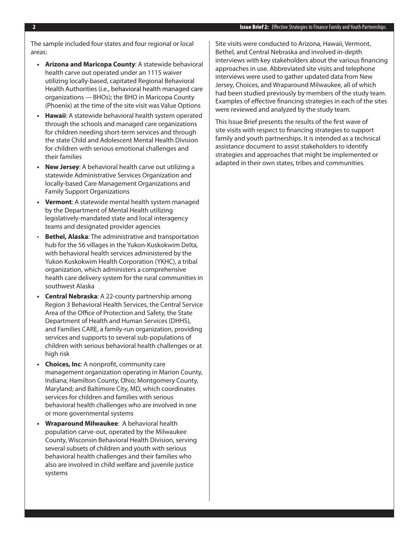The sample included four states and four regional or local areas:

- **• Arizona and Maricopa County**: A statewide behavioral health carve out operated under an 1115 waiver utilizing locally-based, capitated Regional Behavioral Health Authorities (i.e., behavioral health managed care organizations —BHOs); the BHO in Maricopa County (Phoenix) at the time of the site visit was Value Options
- **• Hawaii**: A statewide behavioral health system operated through the schools and managed care organizations for children needing short-term services and through the state Child and Adolescent Mental Health Division for children with serious emotional challenges and their families
- **New Jersey:** A behavioral health carve out utilizing a statewide Administrative Services Organization and locally-based Care Management Organizations and Family Support Organizations
- **Vermont:** A statewide mental health system managed by the Department of Mental Health utilizing legislatively-mandated state and local interagency teams and designated provider agencies
- **Bethel, Alaska:** The administrative and transportation hub for the 56 villages in the Yukon-Kuskokwim Delta, with behavioral health services administered by the Yukon Kuskokwim Health Corporation (YKHC), a tribal organization, which administers a comprehensive health care delivery system for the rural communities in southwest Alaska
- **Central Nebraska:** A 22-county partnership among Region 3 Behavioral Health Services, the Central Service Area of the Office of Protection and Safety, the State Department of Health and Human Services (DHHS), and Families CARE, a family-run organization, providing services and supports to several sub-populations of children with serious behavioral health challenges or at high risk
- **• Choices, Inc**: A nonprofit, community care management organization operating in Marion County, Indiana; Hamilton County, Ohio; Montgomery County, Maryland; and Baltimore City, MD, which coordinates services for children and families with serious behavioral health challenges who are involved in one or more governmental systems
- **• Wraparound Milwaukee**: A behavioral health population carve-out, operated by the Milwaukee County, Wisconsin Behavioral Health Division, serving several subsets of children and youth with serious behavioral health challenges and their families who also are involved in child welfare and juvenile justice systems

Site visits were conducted to Arizona, Hawaii, Vermont, Bethel, and Central Nebraska and involved in-depth interviews with key stakeholders about the various financing approaches in use. Abbreviated site visits and telephone interviews were used to gather updated data from New Jersey, Choices, and Wraparound Milwaukee, all of which had been studied previously by members of the study team. Examples of effective financing strategies in each of the sites were reviewed and analyzed by the study team.

This Issue Brief presents the results of the first wave of site visits with respect to financing strategies to support family and youth partnerships. It is intended as a technical assistance document to assist stakeholders to identify strategies and approaches that might be implemented or adapted in their own states, tribes and communities.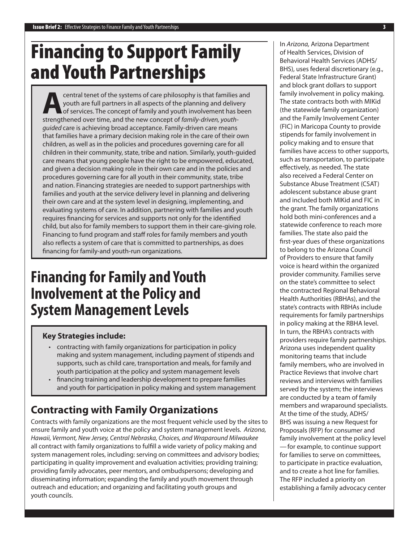# Financing to Support Family and Youth Partnerships

**Acentral tenet of the systems of care philosophy is that families and youth are full partners in all aspects of the planning and delivery of services. The concept of family and youth involvement has been strengthened over** youth are full partners in all aspects of the planning and delivery of services. The concept of family and youth involvement has been strengthened over time, and the new concept of *family-driven, youthguided* care is achieving broad acceptance. Family-driven care means that families have a primary decision making role in the care of their own children, as well as in the policies and procedures governing care for all children in their community, state, tribe and nation. Similarly, youth-guided care means that young people have the right to be empowered, educated, and given a decision making role in their own care and in the policies and procedures governing care for all youth in their community, state, tribe and nation. Financing strategies are needed to support partnerships with families and youth at the service delivery level in planning and delivering their own care and at the system level in designing, implementing, and evaluating systems of care. In addition, partnering with families and youth requires financing for services and supports not only for the identified child, but also for family members to support them in their care-giving role. Financing to fund program and staff roles for family members and youth also reflects a system of care that is committed to partnerships, as does financing for family-and youth-run organizations.

# **Financing for Family and Youth Involvement at the Policy and System Management Levels**

### **Key Strategies include:**

- contracting with family organizations for participation in policy making and system management, including payment of stipends and supports, such as child care, transportation and meals, for family and youth participation at the policy and system management levels
- financing training and leadership development to prepare families and youth for participation in policy making and system management

## **Contracting with Family Organizations**

Contracts with family organizations are the most frequent vehicle used by the sites to ensure family and youth voice at the policy and system management levels. *Arizona, Hawaii, Vermont, New Jersey, Central Nebraska, Choices, and Wraparound Milwaukee*  all contract with family organizations to fulfill a wide variety of policy making and system management roles, including: serving on committees and advisory bodies; participating in quality improvement and evaluation activities; providing training; providing family advocates, peer mentors, and ombudspersons; developing and disseminating information; expanding the family and youth movement through outreach and education; and organizing and facilitating youth groups and youth councils.

In *Arizona,* Arizona Department of Health Services, Division of Behavioral Health Services (ADHS/ BHS), uses federal discretionary (e.g., Federal State Infrastructure Grant) and block grant dollars to support family involvement in policy making. The state contracts both with MIKid (the statewide family organization) and the Family Involvement Center (FIC) in Maricopa County to provide stipends for family involvement in policy making and to ensure that families have access to other supports, such as transportation, to participate effectively, as needed. The state also received a Federal Center on Substance Abuse Treatment (CSAT) adolescent substance abuse grant and included both MIKid and FIC in the grant. The family organizations hold both mini-conferences and a statewide conference to reach more families. The state also paid the first-year dues of these organizations to belong to the Arizona Council of Providers to ensure that family voice is heard within the organized provider community. Families serve on the state's committee to select the contracted Regional Behavioral Health Authorities (RBHAs), and the state's contracts with RBHAs include requirements for family partnerships in policy making at the RBHA level. In turn, the RBHA's contracts with providers require family partnerships. Arizona uses independent quality monitoring teams that include family members, who are involved in Practice Reviews that involve chart reviews and interviews with families served by the system; the interviews are conducted by a team of family members and wraparound specialists. At the time of the study, ADHS/ BHS was issuing a new Request for Proposals (RFP) for consumer and family involvement at the policy level —for example, to continue support for families to serve on committees, to participate in practice evaluation, and to create a hot line for families. The RFP included a priority on establishing a family advocacy center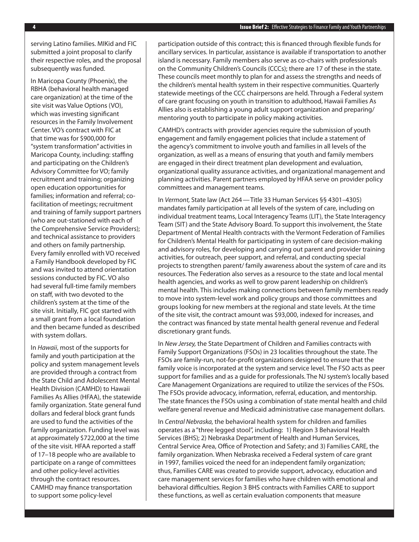serving Latino families. MIKid and FIC submitted a joint proposal to clarify their respective roles, and the proposal subsequently was funded.

In Maricopa County (Phoenix), the RBHA (behavioral health managed care organization) at the time of the site visit was Value Options (VO), which was investing significant resources in the Family Involvement Center. VO's contract with FIC at that time was for \$900,000 for "system transformation" activities in Maricopa County, including: staffing and participating on the Children's Advisory Committee for VO; family recruitment and training; organizing open education opportunities for families; information and referral; cofacilitation of meetings; recruitment and training of family support partners (who are out-stationed with each of the Comprehensive Service Providers); and technical assistance to providers and others on family partnership. Every family enrolled with VO received a Family Handbook developed by FIC and was invited to attend orientation sessions conducted by FIC. VO also had several full-time family members on staff, with two devoted to the children's system at the time of the site visit. Initially, FIC got started with a small grant from a local foundation and then became funded as described with system dollars.

In *Hawaii*, most of the supports for family and youth participation at the policy and system management levels are provided through a contract from the State Child and Adolescent Mental Health Division (CAMHD) to Hawaii Families As Allies (HFAA), the statewide family organization. State general fund dollars and federal block grant funds are used to fund the activities of the family organization. Funding level was at approximately \$722,000 at the time of the site visit. HFAA reported a staff of 17–18 people who are available to participate on a range of committees and other policy-level activities through the contract resources. CAMHD may finance transportation to support some policy-level

participation outside of this contract; this is financed through flexible funds for ancillary services. In particular, assistance is available if transportation to another island is necessary. Family members also serve as co-chairs with professionals on the Community Children's Councils (CCCs); there are 17 of these in the state. These councils meet monthly to plan for and assess the strengths and needs of the children's mental health system in their respective communities. Quarterly statewide meetings of the CCC chairpersons are held. Through a Federal system of care grant focusing on youth in transition to adulthood, Hawaii Families As Allies also is establishing a young adult support organization and preparing/ mentoring youth to participate in policy making activities.

CAMHD's contracts with provider agencies require the submission of youth engagement and family engagement policies that include a statement of the agency's commitment to involve youth and families in all levels of the organization, as well as a means of ensuring that youth and family members are engaged in their direct treatment plan development and evaluation, organizational quality assurance activities, and organizational management and planning activities. Parent partners employed by HFAA serve on provider policy committees and management teams.

In *Vermont,* State law (Act 264—Title 33 Human Services §§ 4301–4305) mandates family participation at all levels of the system of care, including on individual treatment teams, Local Interagency Teams (LIT), the State Interagency Team (SIT) and the State Advisory Board. To support this involvement, the State Department of Mental Health contracts with the Vermont Federation of Families for Children's Mental Health for participating in system of care decision-making and advisory roles, for developing and carrying out parent and provider training activities, for outreach, peer support, and referral, and conducting special projects to strengthen parent/ family awareness about the system of care and its resources. The Federation also serves as a resource to the state and local mental health agencies, and works as well to grow parent leadership on children's mental health. This includes making connections between family members ready to move into system-level work and policy groups and those committees and groups looking for new members at the regional and state levels. At the time of the site visit, the contract amount was \$93,000, indexed for increases, and the contract was financed by state mental health general revenue and Federal discretionary grant funds.

In *New Jersey,* the State Department of Children and Families contracts with Family Support Organizations (FSOs) in 23 localities throughout the state. The FSOs are family-run, not-for-profit organizations designed to ensure that the family voice is incorporated at the system and service level. The FSO acts as peer support for families and as a guide for professionals. The NJ system's locally based Care Management Organizations are required to utilize the services of the FSOs. The FSOs provide advocacy, information, referral, education, and mentorship. The state finances the FSOs using a combination of state mental health and child welfare general revenue and Medicaid administrative case management dollars.

In *Central Nebraska,* the behavioral health system for children and families operates as a "three legged stool", including: 1) Region 3 Behavioral Health Services (BHS); 2) Nebraska Department of Health and Human Services, Central Service Area, Office of Protection and Safety; and 3) Families CARE, the family organization. When Nebraska received a Federal system of care grant in 1997, families voiced the need for an independent family organization; thus, Families CARE was created to provide support, advocacy, education and care management services for families who have children with emotional and behavioral difficulties. Region 3 BHS contracts with Families CARE to support these functions, as well as certain evaluation components that measure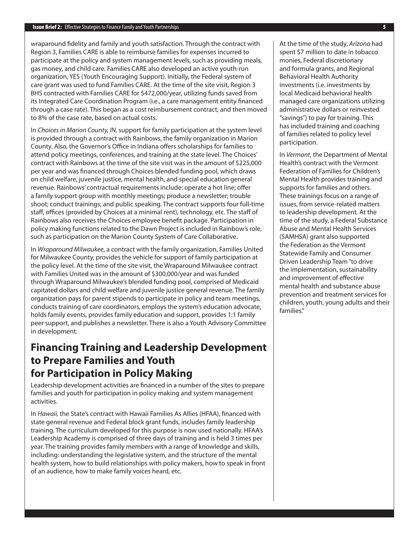wraparound fidelity and family and youth satisfaction. Through the contract with Region 3, Families CARE is able to reimburse families for expenses incurred to participate at the policy and system management levels, such as providing meals, gas money, and child care. Families CARE also developed an active youth-run organization, YES (Youth Encouraging Support). Initially, the Federal system of care grant was used to fund Families CARE. At the time of the site visit, Region 3 BHS contracted with Families CARE for \$472,000/year, utilizing funds saved from its Integrated Care Coordination Program (i.e., a care management entity financed through a case rate). This began as a cost reimbursement contract, and then moved to 8% of the case rate, based on actual costs.

In *Choices in Marion County, IN*, support for family participation at the system level is provided through a contract with Rainbows, the family organization in Marion County. Also, the Governor's Office in Indiana offers scholarships for families to attend policy meetings, conferences, and training at the state level. The Choices' contract with Rainbows at the time of the site visit was in the amount of \$225,000 per year and was financed through Choices blended funding pool, which draws on child welfare, juvenile justice, mental health, and special education general revenue. Rainbows' contractual requirements include: operate a hot line; offer a family support group with monthly meetings; produce a newsletter; trouble shoot; conduct trainings; and public speaking. The contract supports four full-time staff, offices (provided by Choices at a minimal rent), technology, etc. The staff of Rainbows also receives the Choices employee benefit package. Participation in policy making functions related to the Dawn Project is included in Rainbow's role, such as participation on the Marion County System of Care Collaborative.

In *Wraparound Milwaukee*, a contract with the family organization, Families United for Milwaukee County, provides the vehicle for support of family participation at the policy level. At the time of the site visit, the Wraparound Milwaukee contract with Families United was in the amount of \$300,000/year and was funded through Wraparound Milwaukee's blended funding pool, comprised of Medicaid capitated dollars and child welfare and juvenile justice general revenue. The family organization pays for parent stipends to participate in policy and team meetings, conducts training of care coordinators, employs the system's education advocate, holds family events, provides family education and support, provides 1:1 family peer support, and publishes a newsletter. There is also a Youth Advisory Committee in development.

### **Financing Training and Leadership Development to Prepare Families and Youth for Participation in Policy Making**

Leadership development activities are financed in a number of the sites to prepare families and youth for participation in policy making and system management activities.

In *Hawaii,* the State's contract with Hawaii Families As Allies (HFAA), financed with state general revenue and Federal block grant funds, includes family leadership training. The curriculum developed for this purpose is now used nationally. HFAA's Leadership Academy is comprised of three days of training and is held 3 times per year. The training provides family members with a range of knowledge and skills, including: understanding the legislative system, and the structure of the mental health system, how to build relationships with policy makers, how to speak in front of an audience, how to make family voices heard, etc.

At the time of the study, *Arizona* had spent \$7 million to date in tobacco monies, Federal discretionary and formula grants, and Regional Behavioral Health Authority investments (i.e. investments by local Medicaid behavioral health managed care organizations utilizing administrative dollars or reinvested "savings") to pay for training. This has included training and coaching of families related to policy level participation.

In *Vermont*, the Department of Mental Health's contract with the Vermont Federation of Families for Children's Mental Health provides training and supports for families and others. These trainings focus on a range of issues, from service-related matters to leadership development. At the time of the study, a Federal Substance Abuse and Mental Health Services (SAMHSA) grant also supported the Federation as the Vermont Statewide Family and Consumer Driven Leadership Team "to drive the implementation, sustainability and improvement of effective mental health and substance abuse prevention and treatment services for children, youth, young adults and their families."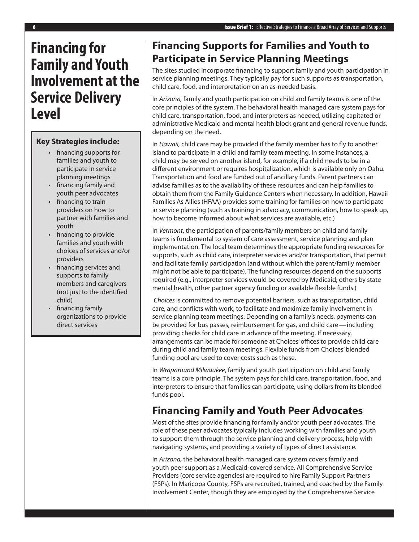# **Financing for Family and Youth Involvement at the Service Delivery Level**

### **Key Strategies include:**

- • financing supports for families and youth to participate in service planning meetings
- financing family and youth peer advocates
- financing to train providers on how to partner with families and youth
- • financing to provide families and youth with choices of services and/or providers
- financing services and supports to family members and caregivers (not just to the identified child)
- financing family organizations to provide direct services

### **Financing Supports for Families and Youth to Participate in Service Planning Meetings**

The sites studied incorporate financing to support family and youth participation in service planning meetings. They typically pay for such supports as transportation, child care, food, and interpretation on an as-needed basis.

In *Arizona,* family and youth participation on child and family teams is one of the core principles of the system. The behavioral health managed care system pays for child care, transportation, food, and interpreters as needed, utilizing capitated or administrative Medicaid and mental health block grant and general revenue funds, depending on the need.

In *Hawaii,* child care may be provided if the family member has to fly to another island to participate in a child and family team meeting. In some instances, a child may be served on another island, for example, if a child needs to be in a different environment or requires hospitalization, which is available only on Oahu. Transportation and food are funded out of ancillary funds. Parent partners can advise families as to the availability of these resources and can help families to obtain them from the Family Guidance Centers when necessary. In addition, Hawaii Families As Allies (HFAA) provides some training for families on how to participate in service planning (such as training in advocacy, communication, how to speak up, how to become informed about what services are available, etc.)

In *Vermont*, the participation of parents/family members on child and family teams is fundamental to system of care assessment, service planning and plan implementation. The local team determines the appropriate funding resources for supports, such as child care, interpreter services and/or transportation, that permit and facilitate family participation (and without which the parent/family member might not be able to participate). The funding resources depend on the supports required (e.g., interpreter services would be covered by Medicaid; others by state mental health, other partner agency funding or available flexible funds.)

*Choices* is committed to remove potential barriers, such as transportation, child care, and conflicts with work, to facilitate and maximize family involvement in service planning team meetings. Depending on a family's needs, payments can be provided for bus passes, reimbursement for gas, and child care—including providing checks for child care in advance of the meeting. If necessary, arrangements can be made for someone at Choices' offices to provide child care during child and family team meetings. Flexible funds from Choices' blended funding pool are used to cover costs such as these.

In *Wraparound Milwaukee*, family and youth participation on child and family teams is a core principle. The system pays for child care, transportation, food, and interpreters to ensure that families can participate, using dollars from its blended funds pool.

### **Financing Family and Youth Peer Advocates**

Most of the sites provide financing for family and/or youth peer advocates. The role of these peer advocates typically includes working with families and youth to support them through the service planning and delivery process, help with navigating systems, and providing a variety of types of direct assistance.

In *Arizona,* the behavioral health managed care system covers family and youth peer support as a Medicaid-covered service. All Comprehensive Service Providers (core service agencies) are required to hire Family Support Partners (FSPs). In Maricopa County, FSPs are recruited, trained, and coached by the Family Involvement Center, though they are employed by the Comprehensive Service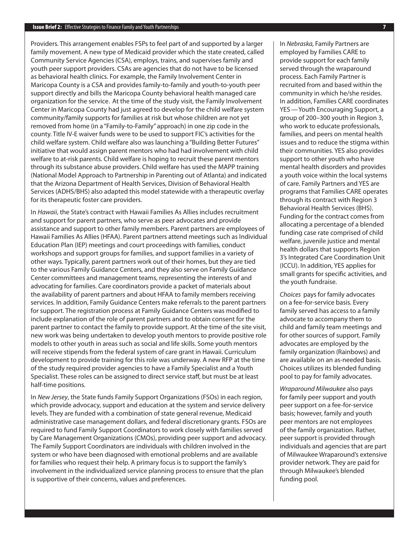Providers. This arrangement enables FSPs to feel part of and supported by a larger family movement. A new type of Medicaid provider which the state created, called Community Service Agencies (CSA), employs, trains, and supervises family and youth peer support providers. CSAs are agencies that do not have to be licensed as behavioral health clinics. For example, the Family Involvement Center in Maricopa County is a CSA and provides family-to-family and youth-to-youth peer support directly and bills the Maricopa County behavioral health managed care organization for the service. At the time of the study visit, the Family Involvement Center in Maricopa County had just agreed to develop for the child welfare system community/family supports for families at risk but whose children are not yet removed from home (in a "Family-to-Family" approach) in one zip code in the county. Title IV-E waiver funds were to be used to support FIC's activities for the child welfare system. Child welfare also was launching a "Building Better Futures" initiative that would assign parent mentors who had had involvement with child welfare to at-risk parents. Child welfare is hoping to recruit these parent mentors through its substance abuse providers. Child welfare has used the MAPP training (National Model Approach to Partnership in Parenting out of Atlanta) and indicated that the Arizona Department of Health Services, Division of Behavioral Health Services (ADHS/BHS) also adapted this model statewide with a therapeutic overlay for its therapeutic foster care providers.

In *Hawaii*, the State's contract with Hawaii Families As Allies includes recruitment and support for parent partners, who serve as peer advocates and provide assistance and support to other family members. Parent partners are employees of Hawaii Families As Allies (HFAA). Parent partners attend meetings such as Individual Education Plan (IEP) meetings and court proceedings with families, conduct workshops and support groups for families, and support families in a variety of other ways. Typically, parent partners work out of their homes, but they are tied to the various Family Guidance Centers, and they also serve on Family Guidance Center committees and management teams, representing the interests of and advocating for families. Care coordinators provide a packet of materials about the availability of parent partners and about HFAA to family members receiving services. In addition, Family Guidance Centers make referrals to the parent partners for support. The registration process at Family Guidance Centers was modified to include explanation of the role of parent partners and to obtain consent for the parent partner to contact the family to provide support. At the time of the site visit, new work was being undertaken to develop youth mentors to provide positive role models to other youth in areas such as social and life skills. Some youth mentors will receive stipends from the federal system of care grant in Hawaii. Curriculum development to provide training for this role was underway. A new RFP at the time of the study required provider agencies to have a Family Specialist and a Youth Specialist. These roles can be assigned to direct service staff, but must be at least half-time positions.

In *New Jersey*, the State funds Family Support Organizations (FSOs) in each region, which provide advocacy, support and education at the system and service delivery levels. They are funded with a combination of state general revenue, Medicaid administrative case management dollars, and federal discretionary grants. FSOs are required to fund Family Support Coordinators to work closely with families served by Care Management Organizations (CMOs), providing peer support and advocacy. The Family Support Coordinators are individuals with children involved in the system or who have been diagnosed with emotional problems and are available for families who request their help. A primary focus is to support the family's involvement in the individualized service planning process to ensure that the plan is supportive of their concerns, values and preferences.

In *Nebraska,* Family Partners are employed by Families CARE to provide support for each family served through the wraparound process. Each Family Partner is recruited from and based within the community in which he/she resides. In addition, Families CARE coordinates YES—Youth Encouraging Support, a group of 200–300 youth in Region 3, who work to educate professionals, families, and peers on mental health issues and to reduce the stigma within their communities. YES also provides support to other youth who have mental health disorders and provides a youth voice within the local systems of care. Family Partners and YES are programs that Families CARE operates through its contract with Region 3 Behavioral Health Services (BHS). Funding for the contract comes from allocating a percentage of a blended funding case rate comprised of child welfare, juvenile justice and mental health dollars that supports Region 3's Integrated Care Coordination Unit (ICCU). In addition, YES applies for small grants for specific activities, and the youth fundraise.

*Choices* pays for family advocates on a fee-for-service basis. Every family served has access to a family advocate to accompany them to child and family team meetings and for other sources of support. Family advocates are employed by the family organization (Rainbows) and are available on an as-needed basis. Choices utilizes its blended funding pool to pay for family advocates.

*Wraparound Milwaukee* also pays for family peer support and youth peer support on a fee-for-service basis; however, family and youth peer mentors are not employees of the family organization. Rather, peer support is provided through individuals and agencies that are part of Milwaukee Wraparound's extensive provider network. They are paid for through Milwaukee's blended funding pool.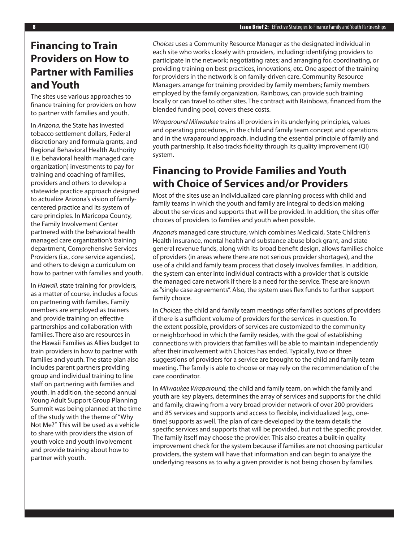## **Financing to Train Providers on How to Partner with Families and Youth**

The sites use various approaches to finance training for providers on how to partner with families and youth.

In *Arizona,* the State has invested tobacco settlement dollars, Federal discretionary and formula grants, and Regional Behavioral Health Authority (i.e. behavioral health managed care organization) investments to pay for training and coaching of families, providers and others to develop a statewide practice approach designed to actualize Arizona's vision of familycentered practice and its system of care principles. In Maricopa County, the Family Involvement Center partnered with the behavioral health managed care organization's training department, Comprehensive Services Providers (i.e., core service agencies), and others to design a curriculum on how to partner with families and youth.

In *Hawaii,* state training for providers, as a matter of course, includes a focus on partnering with families. Family members are employed as trainers and provide training on effective partnerships and collaboration with families. There also are resources in the Hawaii Families as Allies budget to train providers in how to partner with families and youth. The state plan also includes parent partners providing group and individual training to line staff on partnering with families and youth. In addition, the second annual Young Adult Support Group Planning Summit was being planned at the time of the study with the theme of "Why Not Me?" This will be used as a vehicle to share with providers the vision of youth voice and youth involvement and provide training about how to partner with youth.

*Choices* uses a Community Resource Manager as the designated individual in each site who works closely with providers, including: identifying providers to participate in the network; negotiating rates; and arranging for, coordinating, or providing training on best practices, innovations, etc. One aspect of the training for providers in the network is on family-driven care. Community Resource Managers arrange for training provided by family members; family members employed by the family organization, Rainbows, can provide such training locally or can travel to other sites. The contract with Rainbows, financed from the blended funding pool, covers these costs.

*Wraparound Milwaukee* trains all providers in its underlying principles, values and operating procedures, in the child and family team concept and operations and in the wraparound approach, including the essential principle of family and youth partnership. It also tracks fidelity through its quality improvement (QI) system.

### **Financing to Provide Families and Youth with Choice of Services and/or Providers**

Most of the sites use an individualized care planning process with child and family teams in which the youth and family are integral to decision making about the services and supports that will be provided. In addition, the sites offer choices of providers to families and youth when possible.

*Arizona's* managed care structure, which combines Medicaid, State Children's Health Insurance, mental health and substance abuse block grant, and state general revenue funds, along with its broad benefit design, allows families choice of providers (in areas where there are not serious provider shortages), and the use of a child and family team process that closely involves families. In addition, the system can enter into individual contracts with a provider that is outside the managed care network if there is a need for the service. These are known as "single case agreements". Also, the system uses flex funds to further support family choice.

In *Choices,* the child and family team meetings offer families options of providers if there is a sufficient volume of providers for the services in question. To the extent possible, providers of services are customized to the community or neighborhood in which the family resides, with the goal of establishing connections with providers that families will be able to maintain independently after their involvement with Choices has ended. Typically, two or three suggestions of providers for a service are brought to the child and family team meeting. The family is able to choose or may rely on the recommendation of the care coordinator.

In *Milwaukee Wraparound,* the child and family team, on which the family and youth are key players, determines the array of services and supports for the child and family, drawing from a very broad provider network of over 200 providers and 85 services and supports and access to flexible, individualized (e.g., onetime) supports as well. The plan of care developed by the team details the specific services and supports that will be provided, but not the specific provider. The family itself may choose the provider. This also creates a built-in quality improvement check for the system because if families are not choosing particular providers, the system will have that information and can begin to analyze the underlying reasons as to why a given provider is not being chosen by families.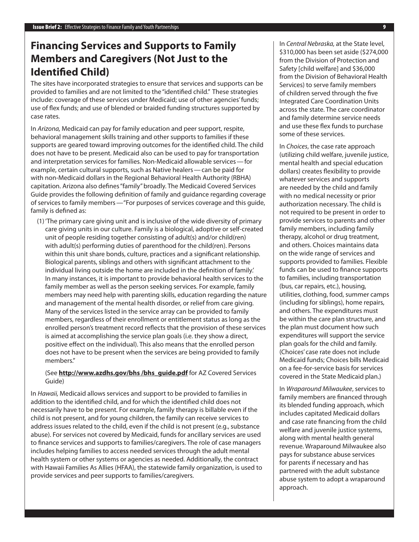## **Financing Services and Supports to Family Members and Caregivers (Not Just to the Identified Child)**

The sites have incorporated strategies to ensure that services and supports can be provided to families and are not limited to the "identified child." These strategies include: coverage of these services under Medicaid; use of other agencies' funds; use of flex funds; and use of blended or braided funding structures supported by case rates.

In *Arizona,* Medicaid can pay for family education and peer support, respite, behavioral management skills training and other supports to families if these supports are geared toward improving outcomes for the identified child. The child does not have to be present. Medicaid also can be used to pay for transportation and interpretation services for families. Non-Medicaid allowable services—for example, certain cultural supports, such as Native healers—can be paid for with non-Medicaid dollars in the Regional Behavioral Health Authority (RBHA) capitation. Arizona also defines "family" broadly. The Medicaid Covered Services Guide provides the following definition of family and guidance regarding coverage of services to family members—"For purposes of services coverage and this guide, family is defined as:

(1)'The primary care giving unit and is inclusive of the wide diversity of primary care giving units in our culture. Family is a biological, adoptive or self-created unit of people residing together consisting of adult(s) and/or child(ren) with adult(s) performing duties of parenthood for the child(ren). Persons within this unit share bonds, culture, practices and a significant relationship. Biological parents, siblings and others with significant attachment to the individual living outside the home are included in the definition of family.' In many instances, it is important to provide behavioral health services to the family member as well as the person seeking services. For example, family members may need help with parenting skills, education regarding the nature and management of the mental health disorder, or relief from care giving. Many of the services listed in the service array can be provided to family members, regardless of their enrollment or entitlement status as long as the enrolled person's treatment record reflects that the provision of these services is aimed at accomplishing the service plan goals (i.e. they show a direct, positive effect on the individual). This also means that the enrolled person does not have to be present when the services are being provided to family members."

#### (See **http://www.azdhs.gov/bhs /bhs\_guide.pdf** for AZ Covered Services Guide)

In *Hawaii,* Medicaid allows services and support to be provided to families in addition to the identified child, and for which the identified child does not necessarily have to be present. For example, family therapy is billable even if the child is not present, and for young children, the family can receive services to address issues related to the child, even if the child is not present (e.g., substance abuse). For services not covered by Medicaid, funds for ancillary services are used to finance services and supports to families/caregivers. The role of case managers includes helping families to access needed services through the adult mental health system or other systems or agencies as needed. Additionally, the contract with Hawaii Families As Allies (HFAA), the statewide family organization, is used to provide services and peer supports to families/caregivers.

In *Central Nebraska,* at the State level, \$310,000 has been set aside (\$274,000 from the Division of Protection and Safety [child welfare] and \$36,000 from the Division of Behavioral Health Services) to serve family members of children served through the five Integrated Care Coordination Units across the state. The care coordinator and family determine service needs and use these flex funds to purchase some of these services.

In *Choices*, the case rate approach (utilizing child welfare, juvenile justice, mental health and special education dollars) creates flexibility to provide whatever services and supports are needed by the child and family with no medical necessity or prior authorization necessary. The child is not required to be present in order to provide services to parents and other family members, including family therapy, alcohol or drug treatment, and others. Choices maintains data on the wide range of services and supports provided to families. Flexible funds can be used to finance supports to families, including transportation (bus, car repairs, etc.), housing, utilities, clothing, food, summer camps (including for siblings), home repairs, and others. The expenditures must be within the care plan structure, and the plan must document how such expenditures will support the service plan goals for the child and family. (Choices' case rate does not include Medicaid funds; Choices bills Medicaid on a fee-for-service basis for services covered in the State Medicaid plan.)

In *Wraparound Milwaukee*, services to family members are financed through its blended funding approach, which includes capitated Medicaid dollars and case rate financing from the child welfare and juvenile justice systems, along with mental health general revenue. Wraparound Milwaukee also pays for substance abuse services for parents if necessary and has partnered with the adult substance abuse system to adopt a wraparound approach.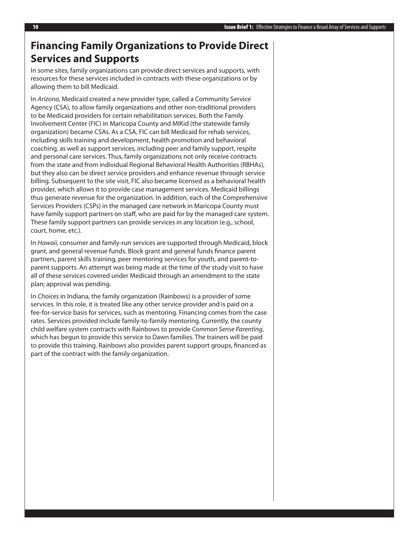### **Financing Family Organizations to Provide Direct Services and Supports**

In some sites, family organizations can provide direct services and supports, with resources for these services included in contracts with these organizations or by allowing them to bill Medicaid.

In *Arizona,* Medicaid created a new provider type, called a Community Service Agency (CSA), to allow family organizations and other non-traditional providers to be Medicaid providers for certain rehabilitation services. Both the Family Involvement Center (FIC) in Maricopa County and MIKid (the statewide family organization) became CSAs. As a CSA, FIC can bill Medicaid for rehab services, including skills training and development, health promotion and behavioral coaching, as well as support services, including peer and family support, respite and personal care services. Thus, family organizations not only receive contracts from the state and from individual Regional Behavioral Health Authorities (RBHAs), but they also can be direct service providers and enhance revenue through service billing. Subsequent to the site visit, FIC also became licensed as a behavioral health provider, which allows it to provide case management services. Medicaid billings thus generate revenue for the organization. In addition, each of the Comprehensive Services Providers (CSPs) in the managed care network in Maricopa County must have family support partners on staff, who are paid for by the managed care system. These family support partners can provide services in any location (e.g., school, court, home, etc.).

In *Hawaii,* consumer and family-run services are supported through Medicaid, block grant, and general revenue funds. Block grant and general funds finance parent partners, parent skills training, peer mentoring services for youth, and parent-toparent supports. An attempt was being made at the time of the study visit to have all of these services covered under Medicaid through an amendment to the state plan; approval was pending.

In *Choices* in Indiana, the family organization (Rainbows) is a provider of some services. In this role, it is treated like any other service provider and is paid on a fee-for-service basis for services, such as mentoring. Financing comes from the case rates. Services provided include family-to-family mentoring. Currently, the county child welfare system contracts with Rainbows to provide *Common Sense Parenting*, which has begun to provide this service to Dawn families. The trainers will be paid to provide this training. Rainbows also provides parent support groups, financed as part of the contract with the family organization.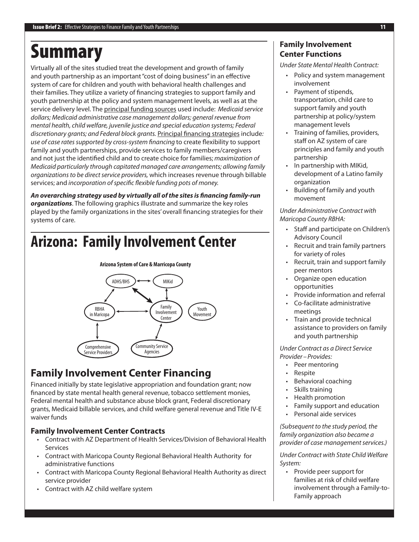# Summary

Virtually all of the sites studied treat the development and growth of family and youth partnership as an important "cost of doing business" in an effective system of care for children and youth with behavioral health challenges and their families. They utilize a variety of financing strategies to support family and youth partnership at the policy and system management levels, as well as at the service delivery level. The principal funding sources used include: *Medicaid service dollars; Medicaid administrative case management dollars; general revenue from mental health, child welfare, juvenile justice and special education systems; Federal discretionary grants; and Federal block grants.* Principal financing strategies include*: use of case rates supported by cross-system financing* to create flexibility to support family and youth partnerships, provide services to family members/caregivers and not just the identified child and to create choice for families; *maximization of Medicaid particularly through capitated managed care arrangements; allowing family organizations to be direct service providers,* which increases revenue through billable services; and *incorporation of specific flexible funding pots of money.* 

*An overarching strategy used by virtually all of the sites is financing family-run organizations*. The following graphics illustrate and summarize the key roles played by the family organizations in the sites' overall financing strategies for their systems of care.

# **Arizona: Family Involvement Center**



## **Family Involvement Center Financing**

Financed initially by state legislative appropriation and foundation grant; now financed by state mental health general revenue, tobacco settlement monies, Federal mental health and substance abuse block grant, Federal discretionary grants, Medicaid billable services, and child welfare general revenue and Title IV-E waiver funds

### **Family Involvement Center Contracts**

- • Contract with AZ Department of Health Services/Division of Behavioral Health **Services**
- • Contract with Maricopa County Regional Behavioral Health Authority for administrative functions
- Contract with Maricopa County Regional Behavioral Health Authority as direct service provider
- • Contract with AZ child welfare system

### **Family Involvement Center Functions**

*Under State Mental Health Contract:*

- • Policy and system management involvement
- • Payment of stipends, transportation, child care to support family and youth partnership at policy/system management levels
- Training of families, providers, staff on AZ system of care principles and family and youth partnership
- In partnership with MIKid, development of a Latino family organization
- • Building of family and youth movement

#### *Under Administrative Contract with Maricopa County RBHA:*

- • Staff and participate on Children's Advisory Council
- Recruit and train family partners for variety of roles
- • Recruit, train and support family peer mentors
- • Organize open education opportunities
- • Provide information and referral
- • Co-facilitate administrative meetings
- Train and provide technical assistance to providers on family and youth partnership

#### *Under Contract as a Direct Service Provider–Provides:*

- Peer mentoring
- • Respite
- Behavioral coaching
- Skills training
- • Health promotion
- • Family support and education
- • Personal aide services

*(Subsequent to the study period, the family organization also became a provider of case management services.)*

*Under Contract with State Child Welfare System:*

• Provide peer support for families at risk of child welfare involvement through a Family-to-Family approach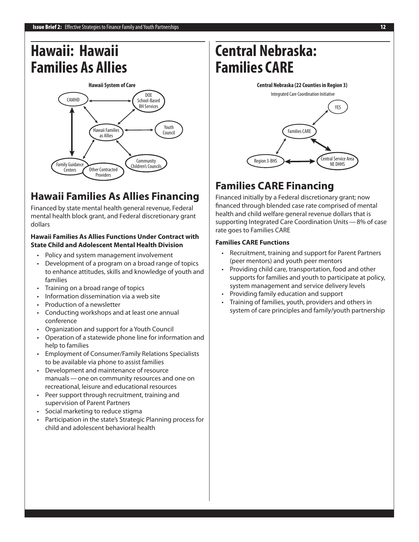## **Hawaii: Hawaii Families As Allies**



## **Hawaii Families As Allies Financing**

Financed by state mental health general revenue, Federal mental health block grant, and Federal discretionary grant dollars

#### **Hawaii Families As Allies Functions Under Contract with State Child and Adolescent Mental Health Division**

- Policy and system management involvement
- Development of a program on a broad range of topics to enhance attitudes, skills and knowledge of youth and families
- Training on a broad range of topics
- Information dissemination via a web site
- Production of a newsletter
- • Conducting workshops and at least one annual conference
- Organization and support for a Youth Council
- Operation of a statewide phone line for information and help to families
- **Employment of Consumer/Family Relations Specialists** to be available via phone to assist families
- • Development and maintenance of resource manuals—one on community resources and one on recreational, leisure and educational resources
- Peer support through recruitment, training and supervision of Parent Partners
- Social marketing to reduce stigma
- Participation in the state's Strategic Planning process for child and adolescent behavioral health

# **Central Nebraska: Families CARE**



## **Families CARE Financing**

Financed initially by a Federal discretionary grant; now financed through blended case rate comprised of mental health and child welfare general revenue dollars that is supporting Integrated Care Coordination Units—8% of case rate goes to Families CARE

#### **Families CARE Functions**

- Recruitment, training and support for Parent Partners (peer mentors) and youth peer mentors
- Providing child care, transportation, food and other supports for families and youth to participate at policy, system management and service delivery levels
- Providing family education and support
- Training of families, youth, providers and others in system of care principles and family/youth partnership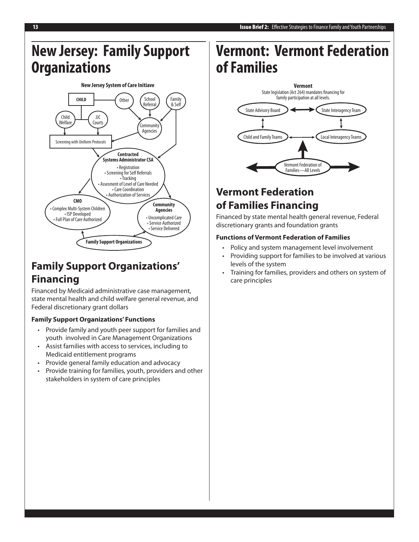## **New Jersey: Family Support Organizations**



## **Family Support Organizations' Financing**

Financed by Medicaid administrative case management, state mental health and child welfare general revenue, and Federal discretionary grant dollars

### **Family Support Organizations' Functions**

- • Provide family and youth peer support for families and youth involved in Care Management Organizations
- Assist families with access to services, including to Medicaid entitlement programs
- • Provide general family education and advocacy
- • Provide training for families, youth, providers and other stakeholders in system of care principles

# **Vermont: Vermont Federation of Families**



## **Vermont Federation of Families Financing**

Financed by state mental health general revenue, Federal discretionary grants and foundation grants

#### **Functions of Vermont Federation of Families**

- Policy and system management level involvement
- Providing support for families to be involved at various levels of the system
- Training for families, providers and others on system of care principles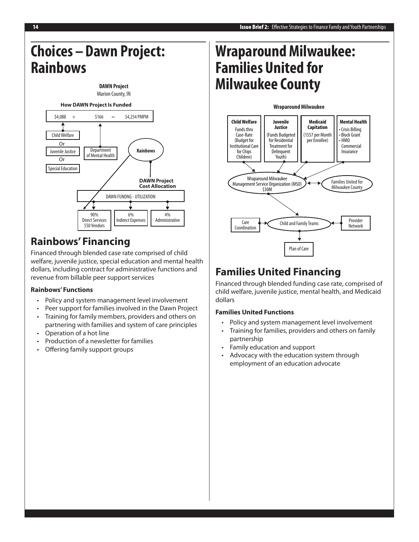## **Choices–Dawn Project: Rainbows**



## **Rainbows' Financing**

Financed through blended case rate comprised of child welfare, juvenile justice, special education and mental health dollars, including contract for administrative functions and revenue from billable peer support services

### **Rainbows' Functions**

- • Policy and system management level involvement
- Peer support for families involved in the Dawn Project
- Training for family members, providers and others on partnering with families and system of care principles
- • Operation of a hot line
- • Production of a newsletter for families
- Offering family support groups

# **Wraparound Milwaukee: Families United for Milwaukee County**



### **Families United Financing**

Financed through blended funding case rate, comprised of child welfare, juvenile justice, mental health, and Medicaid dollars

#### **Families United Functions**

- • Policy and system management level involvement
- • Training for families, providers and others on family partnership
- • Family education and support
- • Advocacy with the education system through employment of an education advocate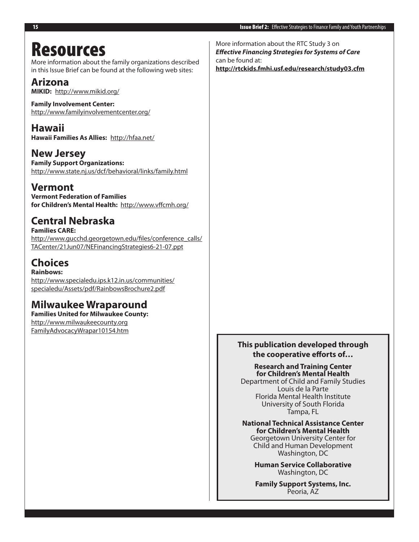## Resources

More information about the family organizations described in this Issue Brief can be found at the following web sites:

### **Arizona**

**MIKID:** http://www.mikid.org/

**Family Involvement Center:** http://www.familyinvolvementcenter.org/

**Hawaii Hawaii Families As Allies:** http://hfaa.net/

**New Jersey Family Support Organizations:** http://www.state.nj.us/dcf/behavioral/links/family.html

### **Vermont**

**Vermont Federation of Families for Children's Mental Health:** http://www.vffcmh.org/

### **Central Nebraska**

**Families CARE:** http://www.gucchd.georgetown.edu/files/conference\_calls/ TACenter/21Jun07/NEFinancingStrategies6-21-07.ppt

### **Choices Rainbows:**

http://www.specialedu.ips.k12.in.us/communities/ specialedu/Assets/pdf/RainbowsBrochure2.pdf

### **Milwaukee Wraparound**

**Families United for Milwaukee County:** http://www.milwaukeecounty.org FamilyAdvocacyWrapar10154.htm

More information about the RTC Study 3 on *Effective Financing Strategies for Systems of Care* can be found at: **http://rtckids.fmhi.usf.edu/research/study03.cfm**

### **This publication developed through the cooperative efforts of…**

**Research and Training Center for Children's Mental Health**

Department of Child and Family Studies Louis de la Parte Florida Mental Health Institute University of South Florida Tampa, FL

**National Technical Assistance Center for Children's Mental Health** Georgetown University Center for

Child and Human Development Washington, DC

**Human Service Collaborative** Washington, DC

**Family Support Systems, Inc.** Peoria, AZ